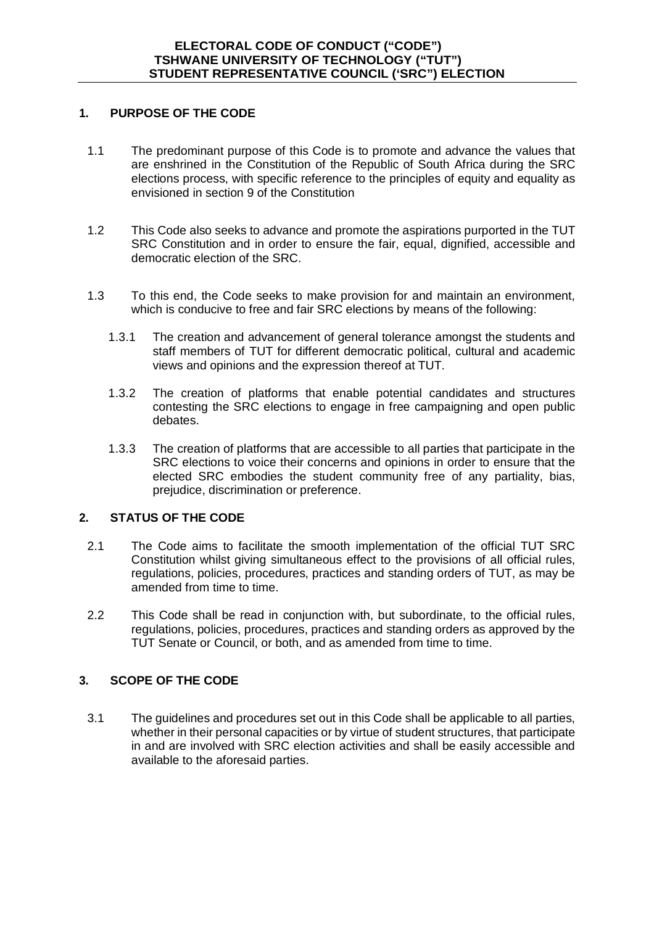## **1. PURPOSE OF THE CODE**

- 1.1 The predominant purpose of this Code is to promote and advance the values that are enshrined in the Constitution of the Republic of South Africa during the SRC elections process, with specific reference to the principles of equity and equality as envisioned in section 9 of the Constitution
- 1.2 This Code also seeks to advance and promote the aspirations purported in the TUT SRC Constitution and in order to ensure the fair, equal, dignified, accessible and democratic election of the SRC.
- 1.3 To this end, the Code seeks to make provision for and maintain an environment, which is conducive to free and fair SRC elections by means of the following:
	- 1.3.1 The creation and advancement of general tolerance amongst the students and staff members of TUT for different democratic political, cultural and academic views and opinions and the expression thereof at TUT.
	- 1.3.2 The creation of platforms that enable potential candidates and structures contesting the SRC elections to engage in free campaigning and open public debates.
	- 1.3.3 The creation of platforms that are accessible to all parties that participate in the SRC elections to voice their concerns and opinions in order to ensure that the elected SRC embodies the student community free of any partiality, bias, prejudice, discrimination or preference.

## **2. STATUS OF THE CODE**

- 2.1 The Code aims to facilitate the smooth implementation of the official TUT SRC Constitution whilst giving simultaneous effect to the provisions of all official rules, regulations, policies, procedures, practices and standing orders of TUT, as may be amended from time to time.
- 2.2 This Code shall be read in conjunction with, but subordinate, to the official rules, regulations, policies, procedures, practices and standing orders as approved by the TUT Senate or Council, or both, and as amended from time to time.

# **3. SCOPE OF THE CODE**

3.1 The guidelines and procedures set out in this Code shall be applicable to all parties, whether in their personal capacities or by virtue of student structures, that participate in and are involved with SRC election activities and shall be easily accessible and available to the aforesaid parties.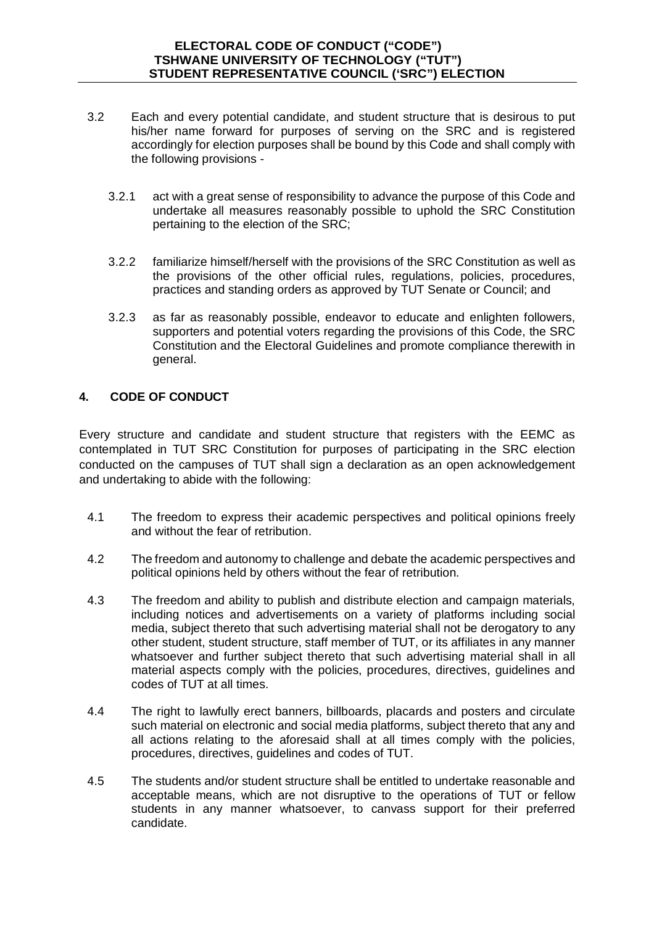- 3.2 Each and every potential candidate, and student structure that is desirous to put his/her name forward for purposes of serving on the SRC and is registered accordingly for election purposes shall be bound by this Code and shall comply with the following provisions -
	- 3.2.1 act with a great sense of responsibility to advance the purpose of this Code and undertake all measures reasonably possible to uphold the SRC Constitution pertaining to the election of the SRC;
	- 3.2.2 familiarize himself/herself with the provisions of the SRC Constitution as well as the provisions of the other official rules, regulations, policies, procedures, practices and standing orders as approved by TUT Senate or Council; and
	- 3.2.3 as far as reasonably possible, endeavor to educate and enlighten followers, supporters and potential voters regarding the provisions of this Code, the SRC Constitution and the Electoral Guidelines and promote compliance therewith in general.

# **4. CODE OF CONDUCT**

Every structure and candidate and student structure that registers with the EEMC as contemplated in TUT SRC Constitution for purposes of participating in the SRC election conducted on the campuses of TUT shall sign a declaration as an open acknowledgement and undertaking to abide with the following:

- 4.1 The freedom to express their academic perspectives and political opinions freely and without the fear of retribution.
- 4.2 The freedom and autonomy to challenge and debate the academic perspectives and political opinions held by others without the fear of retribution.
- 4.3 The freedom and ability to publish and distribute election and campaign materials, including notices and advertisements on a variety of platforms including social media, subject thereto that such advertising material shall not be derogatory to any other student, student structure, staff member of TUT, or its affiliates in any manner whatsoever and further subject thereto that such advertising material shall in all material aspects comply with the policies, procedures, directives, guidelines and codes of TUT at all times.
- 4.4 The right to lawfully erect banners, billboards, placards and posters and circulate such material on electronic and social media platforms, subject thereto that any and all actions relating to the aforesaid shall at all times comply with the policies, procedures, directives, guidelines and codes of TUT.
- 4.5 The students and/or student structure shall be entitled to undertake reasonable and acceptable means, which are not disruptive to the operations of TUT or fellow students in any manner whatsoever, to canvass support for their preferred candidate.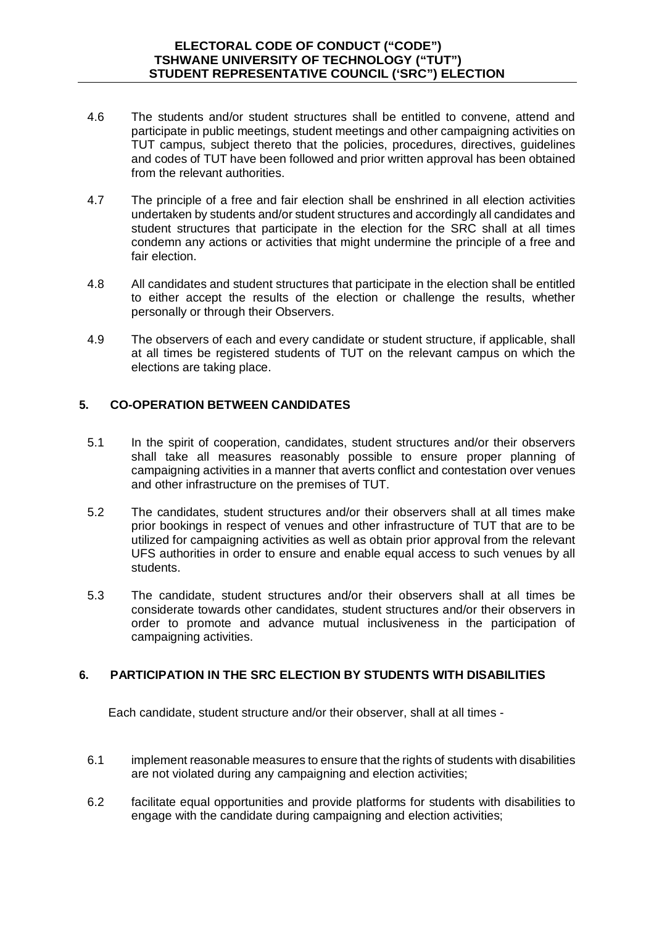- 4.6 The students and/or student structures shall be entitled to convene, attend and participate in public meetings, student meetings and other campaigning activities on TUT campus, subject thereto that the policies, procedures, directives, guidelines and codes of TUT have been followed and prior written approval has been obtained from the relevant authorities.
- 4.7 The principle of a free and fair election shall be enshrined in all election activities undertaken by students and/or student structures and accordingly all candidates and student structures that participate in the election for the SRC shall at all times condemn any actions or activities that might undermine the principle of a free and fair election.
- 4.8 All candidates and student structures that participate in the election shall be entitled to either accept the results of the election or challenge the results, whether personally or through their Observers.
- 4.9 The observers of each and every candidate or student structure, if applicable, shall at all times be registered students of TUT on the relevant campus on which the elections are taking place.

## **5. CO-OPERATION BETWEEN CANDIDATES**

- 5.1 In the spirit of cooperation, candidates, student structures and/or their observers shall take all measures reasonably possible to ensure proper planning of campaigning activities in a manner that averts conflict and contestation over venues and other infrastructure on the premises of TUT.
- 5.2 The candidates, student structures and/or their observers shall at all times make prior bookings in respect of venues and other infrastructure of TUT that are to be utilized for campaigning activities as well as obtain prior approval from the relevant UFS authorities in order to ensure and enable equal access to such venues by all students.
- 5.3 The candidate, student structures and/or their observers shall at all times be considerate towards other candidates, student structures and/or their observers in order to promote and advance mutual inclusiveness in the participation of campaigning activities.

## **6. PARTICIPATION IN THE SRC ELECTION BY STUDENTS WITH DISABILITIES**

Each candidate, student structure and/or their observer, shall at all times -

- 6.1 implement reasonable measures to ensure that the rights of students with disabilities are not violated during any campaigning and election activities;
- 6.2 facilitate equal opportunities and provide platforms for students with disabilities to engage with the candidate during campaigning and election activities;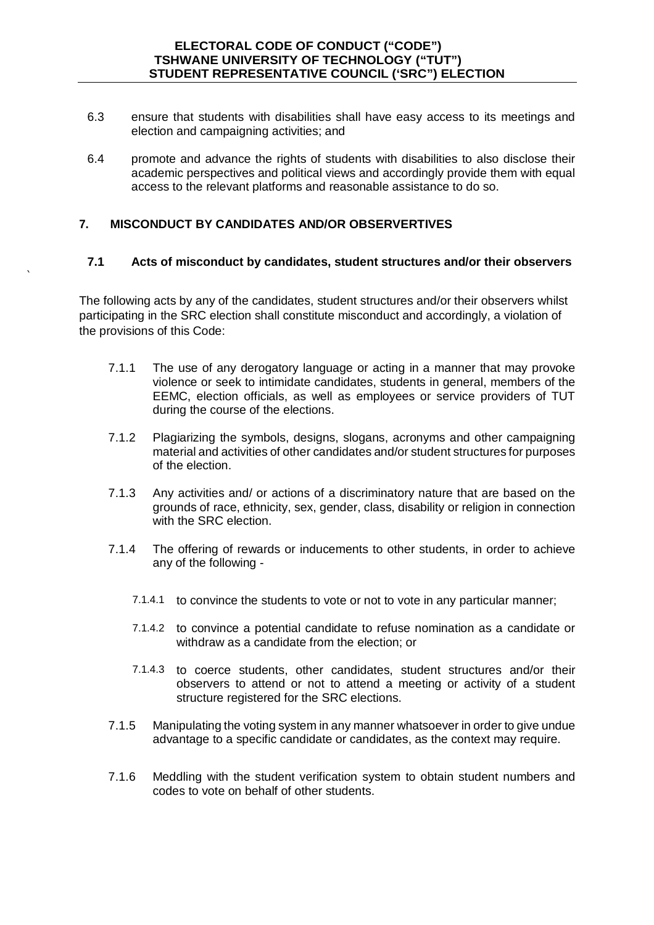- 6.3 ensure that students with disabilities shall have easy access to its meetings and election and campaigning activities; and
- 6.4 promote and advance the rights of students with disabilities to also disclose their academic perspectives and political views and accordingly provide them with equal access to the relevant platforms and reasonable assistance to do so.

## **7. MISCONDUCT BY CANDIDATES AND/OR OBSERVERTIVES**

`

## **7.1 Acts of misconduct by candidates, student structures and/or their observers**

The following acts by any of the candidates, student structures and/or their observers whilst participating in the SRC election shall constitute misconduct and accordingly, a violation of the provisions of this Code:

- 7.1.1 The use of any derogatory language or acting in a manner that may provoke violence or seek to intimidate candidates, students in general, members of the EEMC, election officials, as well as employees or service providers of TUT during the course of the elections.
- 7.1.2 Plagiarizing the symbols, designs, slogans, acronyms and other campaigning material and activities of other candidates and/or student structures for purposes of the election.
- 7.1.3 Any activities and/ or actions of a discriminatory nature that are based on the grounds of race, ethnicity, sex, gender, class, disability or religion in connection with the SRC election.
- 7.1.4 The offering of rewards or inducements to other students, in order to achieve any of the following -
	- 7.1.4.1 to convince the students to vote or not to vote in any particular manner;
	- 7.1.4.2 to convince a potential candidate to refuse nomination as a candidate or withdraw as a candidate from the election; or
	- 7.1.4.3 to coerce students, other candidates, student structures and/or their observers to attend or not to attend a meeting or activity of a student structure registered for the SRC elections.
- 7.1.5 Manipulating the voting system in any manner whatsoever in order to give undue advantage to a specific candidate or candidates, as the context may require.
- 7.1.6 Meddling with the student verification system to obtain student numbers and codes to vote on behalf of other students.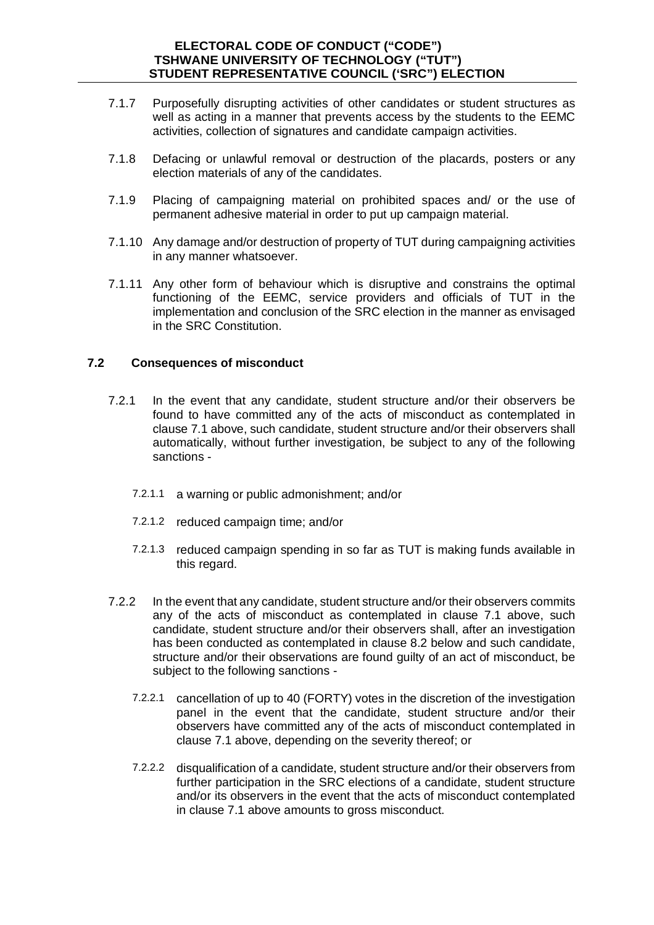- 7.1.7 Purposefully disrupting activities of other candidates or student structures as well as acting in a manner that prevents access by the students to the EEMC activities, collection of signatures and candidate campaign activities.
- 7.1.8 Defacing or unlawful removal or destruction of the placards, posters or any election materials of any of the candidates.
- 7.1.9 Placing of campaigning material on prohibited spaces and/ or the use of permanent adhesive material in order to put up campaign material.
- 7.1.10 Any damage and/or destruction of property of TUT during campaigning activities in any manner whatsoever.
- 7.1.11 Any other form of behaviour which is disruptive and constrains the optimal functioning of the EEMC, service providers and officials of TUT in the implementation and conclusion of the SRC election in the manner as envisaged in the SRC Constitution.

## **7.2 Consequences of misconduct**

- 7.2.1 In the event that any candidate, student structure and/or their observers be found to have committed any of the acts of misconduct as contemplated in clause 7.1 above, such candidate, student structure and/or their observers shall automatically, without further investigation, be subject to any of the following sanctions -
	- 7.2.1.1 a warning or public admonishment; and/or
	- 7.2.1.2 reduced campaign time; and/or
	- 7.2.1.3 reduced campaign spending in so far as TUT is making funds available in this regard.
- 7.2.2 In the event that any candidate, student structure and/or their observers commits any of the acts of misconduct as contemplated in clause 7.1 above, such candidate, student structure and/or their observers shall, after an investigation has been conducted as contemplated in clause 8.2 below and such candidate, structure and/or their observations are found guilty of an act of misconduct, be subject to the following sanctions -
	- 7.2.2.1 cancellation of up to 40 (FORTY) votes in the discretion of the investigation panel in the event that the candidate, student structure and/or their observers have committed any of the acts of misconduct contemplated in clause 7.1 above, depending on the severity thereof; or
	- 7.2.2.2 disqualification of a candidate, student structure and/or their observers from further participation in the SRC elections of a candidate, student structure and/or its observers in the event that the acts of misconduct contemplated in clause 7.1 above amounts to gross misconduct.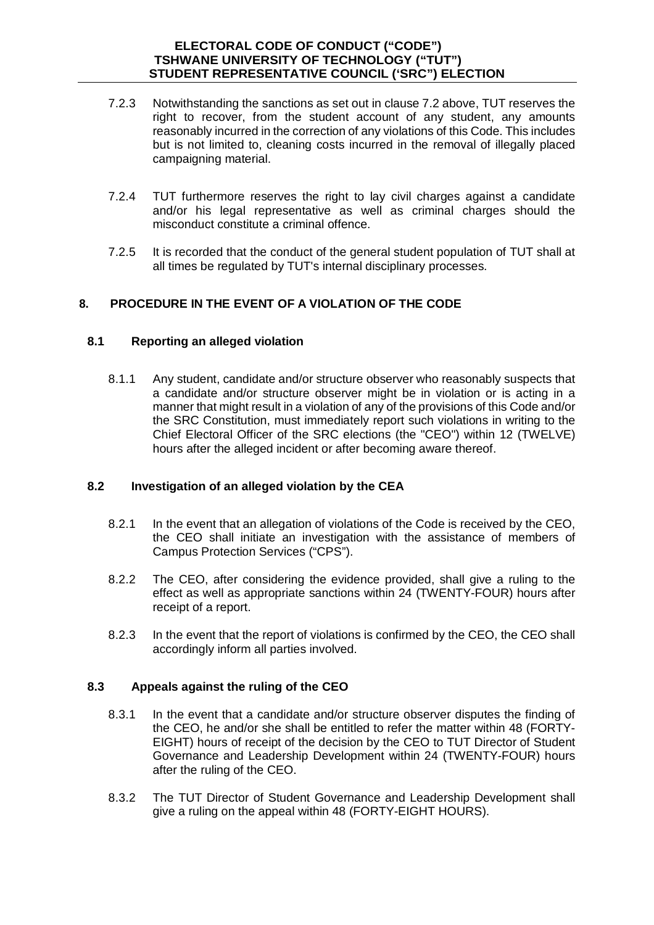- 7.2.3 Notwithstanding the sanctions as set out in clause 7.2 above, TUT reserves the right to recover, from the student account of any student, any amounts reasonably incurred in the correction of any violations of this Code. This includes but is not limited to, cleaning costs incurred in the removal of illegally placed campaigning material.
- 7.2.4 TUT furthermore reserves the right to lay civil charges against a candidate and/or his legal representative as well as criminal charges should the misconduct constitute a criminal offence.
- 7.2.5 It is recorded that the conduct of the general student population of TUT shall at all times be regulated by TUT's internal disciplinary processes.

# **8. PROCEDURE IN THE EVENT OF A VIOLATION OF THE CODE**

## **8.1 Reporting an alleged violation**

8.1.1 Any student, candidate and/or structure observer who reasonably suspects that a candidate and/or structure observer might be in violation or is acting in a manner that might result in a violation of any of the provisions of this Code and/or the SRC Constitution, must immediately report such violations in writing to the Chief Electoral Officer of the SRC elections (the "CEO") within 12 (TWELVE) hours after the alleged incident or after becoming aware thereof.

# **8.2 Investigation of an alleged violation by the CEA**

- 8.2.1 In the event that an allegation of violations of the Code is received by the CEO, the CEO shall initiate an investigation with the assistance of members of Campus Protection Services ("CPS").
- 8.2.2 The CEO, after considering the evidence provided, shall give a ruling to the effect as well as appropriate sanctions within 24 (TWENTY-FOUR) hours after receipt of a report.
- 8.2.3 In the event that the report of violations is confirmed by the CEO, the CEO shall accordingly inform all parties involved.

# **8.3 Appeals against the ruling of the CEO**

- 8.3.1 In the event that a candidate and/or structure observer disputes the finding of the CEO, he and/or she shall be entitled to refer the matter within 48 (FORTY-EIGHT) hours of receipt of the decision by the CEO to TUT Director of Student Governance and Leadership Development within 24 (TWENTY-FOUR) hours after the ruling of the CEO.
- 8.3.2 The TUT Director of Student Governance and Leadership Development shall give a ruling on the appeal within 48 (FORTY-EIGHT HOURS).